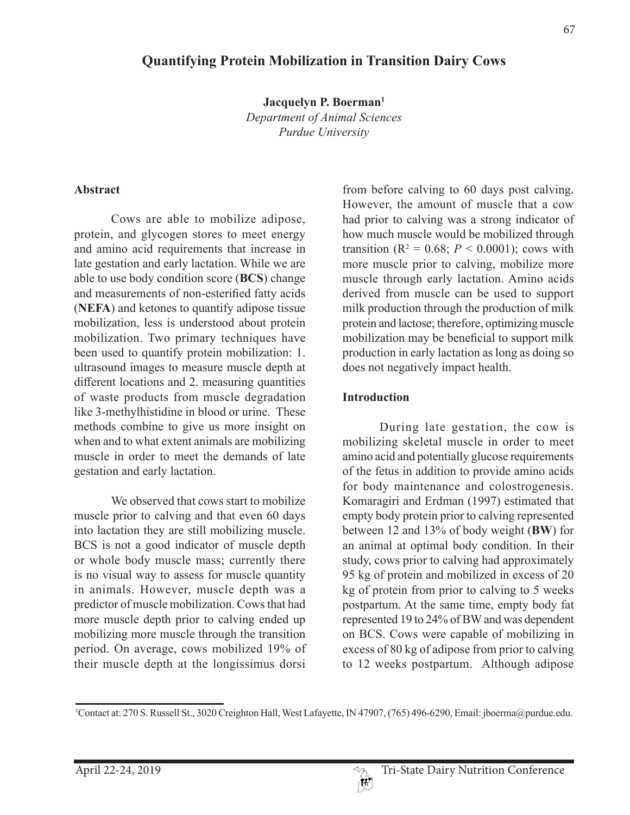# **Quantifying Protein Mobilization in Transition Dairy Cows**

**Jacquelyn P. Boerman1**

*Department of Animal Sciences Purdue University*

#### **Abstract**

Cows are able to mobilize adipose, protein, and glycogen stores to meet energy and amino acid requirements that increase in late gestation and early lactation. While we are able to use body condition score (**BCS**) change and measurements of non-esterified fatty acids (**NEFA**) and ketones to quantify adipose tissue mobilization, less is understood about protein mobilization. Two primary techniques have been used to quantify protein mobilization: 1. ultrasound images to measure muscle depth at different locations and 2. measuring quantities of waste products from muscle degradation like 3-methylhistidine in blood or urine. These methods combine to give us more insight on when and to what extent animals are mobilizing muscle in order to meet the demands of late gestation and early lactation.

We observed that cows start to mobilize muscle prior to calving and that even 60 days into lactation they are still mobilizing muscle. BCS is not a good indicator of muscle depth or whole body muscle mass; currently there is no visual way to assess for muscle quantity in animals. However, muscle depth was a predictor of muscle mobilization. Cows that had more muscle depth prior to calving ended up mobilizing more muscle through the transition period. On average, cows mobilized 19% of their muscle depth at the longissimus dorsi

from before calving to 60 days post calving. However, the amount of muscle that a cow had prior to calving was a strong indicator of how much muscle would be mobilized through transition ( $R^2 = 0.68$ ;  $P < 0.0001$ ); cows with more muscle prior to calving, mobilize more muscle through early lactation. Amino acids derived from muscle can be used to support milk production through the production of milk protein and lactose; therefore, optimizing muscle mobilization may be beneficial to support milk production in early lactation as long as doing so does not negatively impact health.

### **Introduction**

During late gestation, the cow is mobilizing skeletal muscle in order to meet amino acid and potentially glucose requirements of the fetus in addition to provide amino acids for body maintenance and colostrogenesis. Komaragiri and Erdman (1997) estimated that empty body protein prior to calving represented between 12 and 13% of body weight (**BW**) for an animal at optimal body condition. In their study, cows prior to calving had approximately 95 kg of protein and mobilized in excess of 20 kg of protein from prior to calving to 5 weeks postpartum. At the same time, empty body fat represented 19 to 24% of BW and was dependent on BCS. Cows were capable of mobilizing in excess of 80 kg of adipose from prior to calving to 12 weeks postpartum. Although adipose

<sup>1</sup> Contact at: 270 S. Russell St., 3020 Creighton Hall, West Lafayette, IN 47907, (765) 496-6290, Email: jboerma@purdue.edu.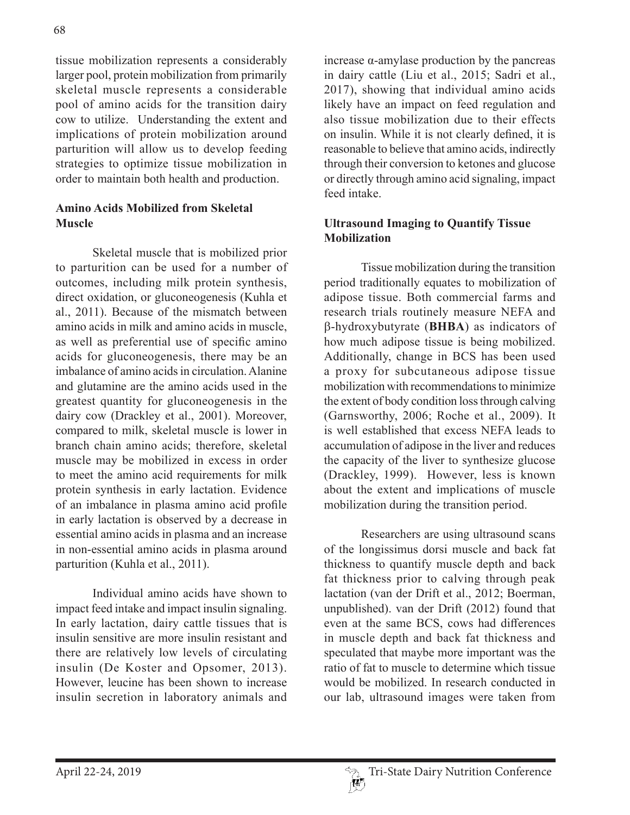tissue mobilization represents a considerably larger pool, protein mobilization from primarily skeletal muscle represents a considerable pool of amino acids for the transition dairy cow to utilize. Understanding the extent and implications of protein mobilization around parturition will allow us to develop feeding strategies to optimize tissue mobilization in order to maintain both health and production.

### **Amino Acids Mobilized from Skeletal Muscle**

Skeletal muscle that is mobilized prior to parturition can be used for a number of outcomes, including milk protein synthesis, direct oxidation, or gluconeogenesis (Kuhla et al., 2011). Because of the mismatch between amino acids in milk and amino acids in muscle, as well as preferential use of specific amino acids for gluconeogenesis, there may be an imbalance of amino acids in circulation. Alanine and glutamine are the amino acids used in the greatest quantity for gluconeogenesis in the dairy cow (Drackley et al., 2001). Moreover, compared to milk, skeletal muscle is lower in branch chain amino acids; therefore, skeletal muscle may be mobilized in excess in order to meet the amino acid requirements for milk protein synthesis in early lactation. Evidence of an imbalance in plasma amino acid profile in early lactation is observed by a decrease in essential amino acids in plasma and an increase in non-essential amino acids in plasma around parturition (Kuhla et al., 2011).

Individual amino acids have shown to impact feed intake and impact insulin signaling. In early lactation, dairy cattle tissues that is insulin sensitive are more insulin resistant and there are relatively low levels of circulating insulin (De Koster and Opsomer, 2013). However, leucine has been shown to increase insulin secretion in laboratory animals and

increase α-amylase production by the pancreas in dairy cattle (Liu et al., 2015; Sadri et al., 2017), showing that individual amino acids likely have an impact on feed regulation and also tissue mobilization due to their effects on insulin. While it is not clearly defined, it is reasonable to believe that amino acids, indirectly through their conversion to ketones and glucose or directly through amino acid signaling, impact feed intake.

## **Ultrasound Imaging to Quantify Tissue Mobilization**

Tissue mobilization during the transition period traditionally equates to mobilization of adipose tissue. Both commercial farms and research trials routinely measure NEFA and b-hydroxybutyrate (**BHBA**) as indicators of how much adipose tissue is being mobilized. Additionally, change in BCS has been used a proxy for subcutaneous adipose tissue mobilization with recommendations to minimize the extent of body condition loss through calving (Garnsworthy, 2006; Roche et al., 2009). It is well established that excess NEFA leads to accumulation of adipose in the liver and reduces the capacity of the liver to synthesize glucose (Drackley, 1999). However, less is known about the extent and implications of muscle mobilization during the transition period.

Researchers are using ultrasound scans of the longissimus dorsi muscle and back fat thickness to quantify muscle depth and back fat thickness prior to calving through peak lactation (van der Drift et al., 2012; Boerman, unpublished). van der Drift (2012) found that even at the same BCS, cows had differences in muscle depth and back fat thickness and speculated that maybe more important was the ratio of fat to muscle to determine which tissue would be mobilized. In research conducted in our lab, ultrasound images were taken from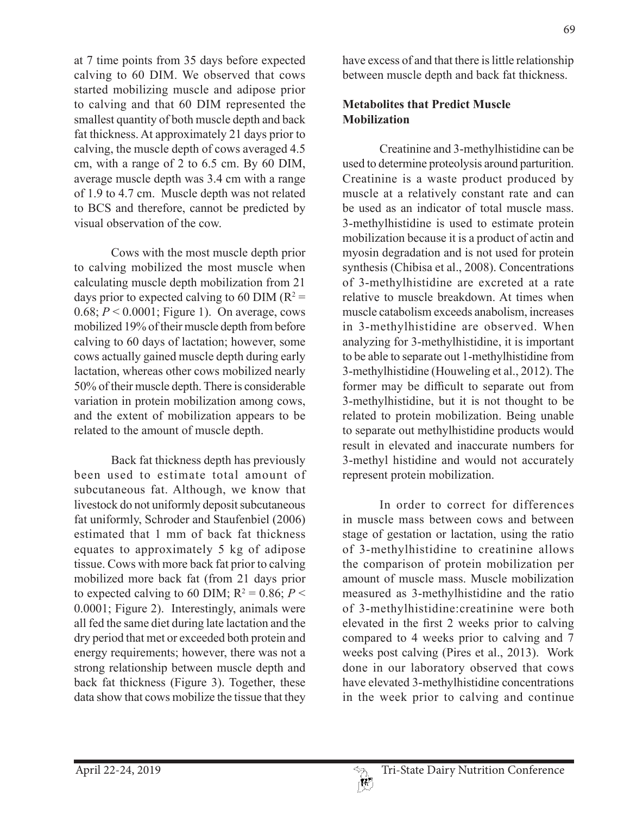at 7 time points from 35 days before expected calving to 60 DIM. We observed that cows started mobilizing muscle and adipose prior to calving and that 60 DIM represented the smallest quantity of both muscle depth and back fat thickness. At approximately 21 days prior to calving, the muscle depth of cows averaged 4.5 cm, with a range of 2 to 6.5 cm. By 60 DIM, average muscle depth was 3.4 cm with a range of 1.9 to 4.7 cm. Muscle depth was not related to BCS and therefore, cannot be predicted by visual observation of the cow.

Cows with the most muscle depth prior to calving mobilized the most muscle when calculating muscle depth mobilization from 21 days prior to expected calving to 60 DIM ( $R^2$  = 0.68; *P* < 0.0001; Figure 1). On average, cows mobilized 19% of their muscle depth from before calving to 60 days of lactation; however, some cows actually gained muscle depth during early lactation, whereas other cows mobilized nearly 50% of their muscle depth. There is considerable variation in protein mobilization among cows, and the extent of mobilization appears to be related to the amount of muscle depth.

Back fat thickness depth has previously been used to estimate total amount of subcutaneous fat. Although, we know that livestock do not uniformly deposit subcutaneous fat uniformly, Schroder and Staufenbiel (2006) estimated that 1 mm of back fat thickness equates to approximately 5 kg of adipose tissue. Cows with more back fat prior to calving mobilized more back fat (from 21 days prior to expected calving to 60 DIM;  $R^2 = 0.86$ ;  $P <$ 0.0001; Figure 2). Interestingly, animals were all fed the same diet during late lactation and the dry period that met or exceeded both protein and energy requirements; however, there was not a strong relationship between muscle depth and back fat thickness (Figure 3). Together, these data show that cows mobilize the tissue that they

have excess of and that there is little relationship between muscle depth and back fat thickness.

## **Metabolites that Predict Muscle Mobilization**

Creatinine and 3-methylhistidine can be used to determine proteolysis around parturition. Creatinine is a waste product produced by muscle at a relatively constant rate and can be used as an indicator of total muscle mass. 3-methylhistidine is used to estimate protein mobilization because it is a product of actin and myosin degradation and is not used for protein synthesis (Chibisa et al., 2008). Concentrations of 3-methylhistidine are excreted at a rate relative to muscle breakdown. At times when muscle catabolism exceeds anabolism, increases in 3-methylhistidine are observed. When analyzing for 3-methylhistidine, it is important to be able to separate out 1-methylhistidine from 3-methylhistidine (Houweling et al., 2012). The former may be difficult to separate out from 3-methylhistidine, but it is not thought to be related to protein mobilization. Being unable to separate out methylhistidine products would result in elevated and inaccurate numbers for 3-methyl histidine and would not accurately represent protein mobilization.

In order to correct for differences in muscle mass between cows and between stage of gestation or lactation, using the ratio of 3-methylhistidine to creatinine allows the comparison of protein mobilization per amount of muscle mass. Muscle mobilization measured as 3-methylhistidine and the ratio of 3-methylhistidine:creatinine were both elevated in the first 2 weeks prior to calving compared to 4 weeks prior to calving and 7 weeks post calving (Pires et al., 2013). Work done in our laboratory observed that cows have elevated 3-methylhistidine concentrations in the week prior to calving and continue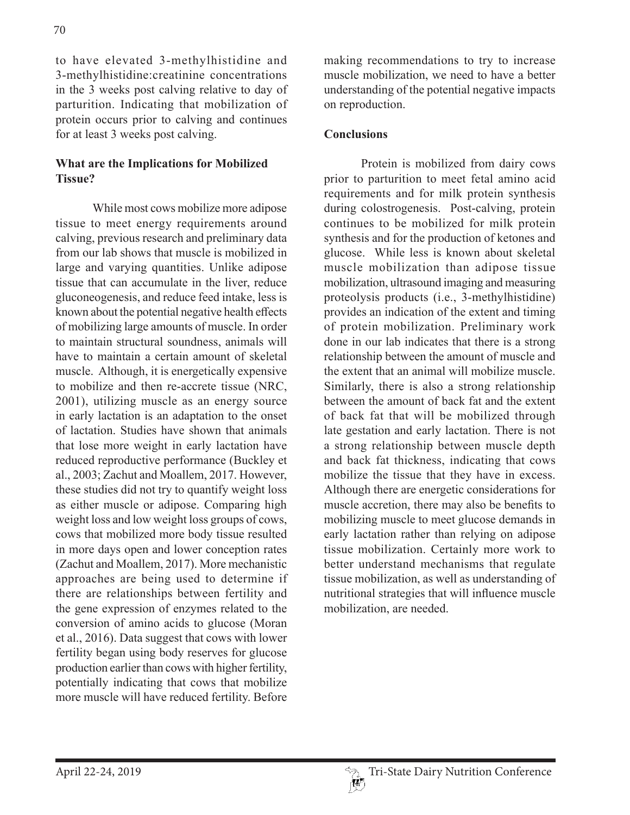to have elevated 3-methylhistidine and 3-methylhistidine:creatinine concentrations in the 3 weeks post calving relative to day of parturition. Indicating that mobilization of protein occurs prior to calving and continues for at least 3 weeks post calving.

## **What are the Implications for Mobilized Tissue?**

While most cows mobilize more adipose tissue to meet energy requirements around calving, previous research and preliminary data from our lab shows that muscle is mobilized in large and varying quantities. Unlike adipose tissue that can accumulate in the liver, reduce gluconeogenesis, and reduce feed intake, less is known about the potential negative health effects of mobilizing large amounts of muscle. In order to maintain structural soundness, animals will have to maintain a certain amount of skeletal muscle. Although, it is energetically expensive to mobilize and then re-accrete tissue (NRC, 2001), utilizing muscle as an energy source in early lactation is an adaptation to the onset of lactation. Studies have shown that animals that lose more weight in early lactation have reduced reproductive performance (Buckley et al., 2003; Zachut and Moallem, 2017. However, these studies did not try to quantify weight loss as either muscle or adipose. Comparing high weight loss and low weight loss groups of cows, cows that mobilized more body tissue resulted in more days open and lower conception rates (Zachut and Moallem, 2017). More mechanistic approaches are being used to determine if there are relationships between fertility and the gene expression of enzymes related to the conversion of amino acids to glucose (Moran et al., 2016). Data suggest that cows with lower fertility began using body reserves for glucose production earlier than cows with higher fertility, potentially indicating that cows that mobilize more muscle will have reduced fertility. Before

making recommendations to try to increase muscle mobilization, we need to have a better understanding of the potential negative impacts on reproduction.

## **Conclusions**

Protein is mobilized from dairy cows prior to parturition to meet fetal amino acid requirements and for milk protein synthesis during colostrogenesis. Post-calving, protein continues to be mobilized for milk protein synthesis and for the production of ketones and glucose. While less is known about skeletal muscle mobilization than adipose tissue mobilization, ultrasound imaging and measuring proteolysis products (i.e., 3-methylhistidine) provides an indication of the extent and timing of protein mobilization. Preliminary work done in our lab indicates that there is a strong relationship between the amount of muscle and the extent that an animal will mobilize muscle. Similarly, there is also a strong relationship between the amount of back fat and the extent of back fat that will be mobilized through late gestation and early lactation. There is not a strong relationship between muscle depth and back fat thickness, indicating that cows mobilize the tissue that they have in excess. Although there are energetic considerations for muscle accretion, there may also be benefits to mobilizing muscle to meet glucose demands in early lactation rather than relying on adipose tissue mobilization. Certainly more work to better understand mechanisms that regulate tissue mobilization, as well as understanding of nutritional strategies that will influence muscle mobilization, are needed.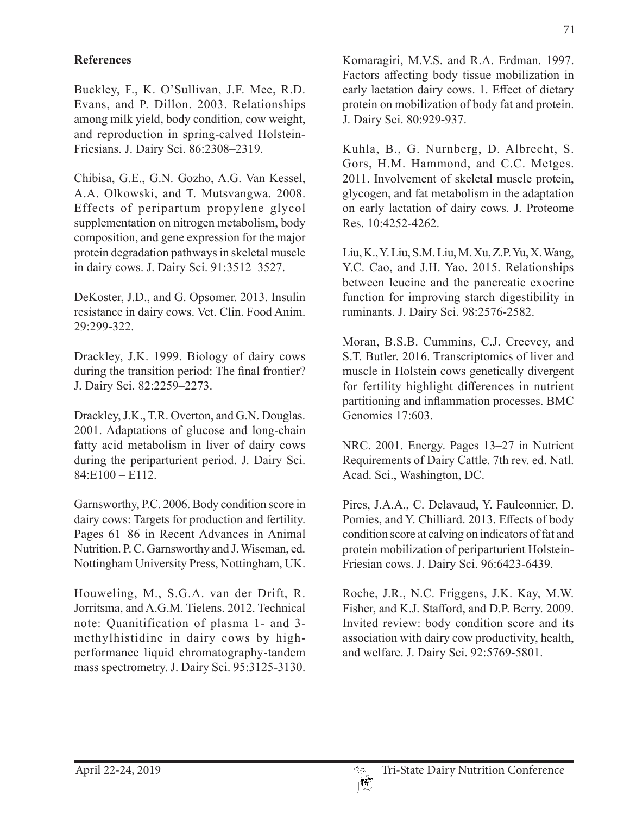## **References**

Buckley, F., K. O'Sullivan, J.F. Mee, R.D. Evans, and P. Dillon. 2003. Relationships among milk yield, body condition, cow weight, and reproduction in spring-calved Holstein-Friesians. J. Dairy Sci. 86:2308–2319.

Chibisa, G.E., G.N. Gozho, A.G. Van Kessel, A.A. Olkowski, and T. Mutsvangwa. 2008. Effects of peripartum propylene glycol supplementation on nitrogen metabolism, body composition, and gene expression for the major protein degradation pathways in skeletal muscle in dairy cows. J. Dairy Sci. 91:3512–3527.

DeKoster, J.D., and G. Opsomer. 2013. Insulin resistance in dairy cows. Vet. Clin. Food Anim. 29:299-322.

Drackley, J.K. 1999. Biology of dairy cows during the transition period: The final frontier? J. Dairy Sci. 82:2259–2273.

Drackley, J.K., T.R. Overton, and G.N. Douglas. 2001. Adaptations of glucose and long-chain fatty acid metabolism in liver of dairy cows during the periparturient period. J. Dairy Sci.  $84: E100 - E112.$ 

Garnsworthy, P.C. 2006. Body condition score in dairy cows: Targets for production and fertility. Pages 61–86 in Recent Advances in Animal Nutrition. P. C. Garnsworthy and J. Wiseman, ed. Nottingham University Press, Nottingham, UK.

Houweling, M., S.G.A. van der Drift, R. Jorritsma, and A.G.M. Tielens. 2012. Technical note: Quanitification of plasma 1- and 3 methylhistidine in dairy cows by highperformance liquid chromatography-tandem mass spectrometry. J. Dairy Sci. 95:3125-3130.

Komaragiri, M.V.S. and R.A. Erdman. 1997. Factors affecting body tissue mobilization in early lactation dairy cows. 1. Effect of dietary protein on mobilization of body fat and protein. J. Dairy Sci. 80:929-937.

Kuhla, B., G. Nurnberg, D. Albrecht, S. Gors, H.M. Hammond, and C.C. Metges. 2011. Involvement of skeletal muscle protein, glycogen, and fat metabolism in the adaptation on early lactation of dairy cows. J. Proteome Res. 10:4252-4262.

Liu, K., Y. Liu, S.M. Liu, M. Xu, Z.P. Yu, X. Wang, Y.C. Cao, and J.H. Yao. 2015. Relationships between leucine and the pancreatic exocrine function for improving starch digestibility in ruminants. J. Dairy Sci. 98:2576-2582.

Moran, B.S.B. Cummins, C.J. Creevey, and S.T. Butler. 2016. Transcriptomics of liver and muscle in Holstein cows genetically divergent for fertility highlight differences in nutrient partitioning and inflammation processes. BMC Genomics 17:603.

NRC. 2001. Energy. Pages 13–27 in Nutrient Requirements of Dairy Cattle. 7th rev. ed. Natl. Acad. Sci., Washington, DC.

Pires, J.A.A., C. Delavaud, Y. Faulconnier, D. Pomies, and Y. Chilliard. 2013. Effects of body condition score at calving on indicators of fat and protein mobilization of periparturient Holstein-Friesian cows. J. Dairy Sci. 96:6423-6439.

Roche, J.R., N.C. Friggens, J.K. Kay, M.W. Fisher, and K.J. Stafford, and D.P. Berry. 2009. Invited review: body condition score and its association with dairy cow productivity, health, and welfare. J. Dairy Sci. 92:5769-5801.

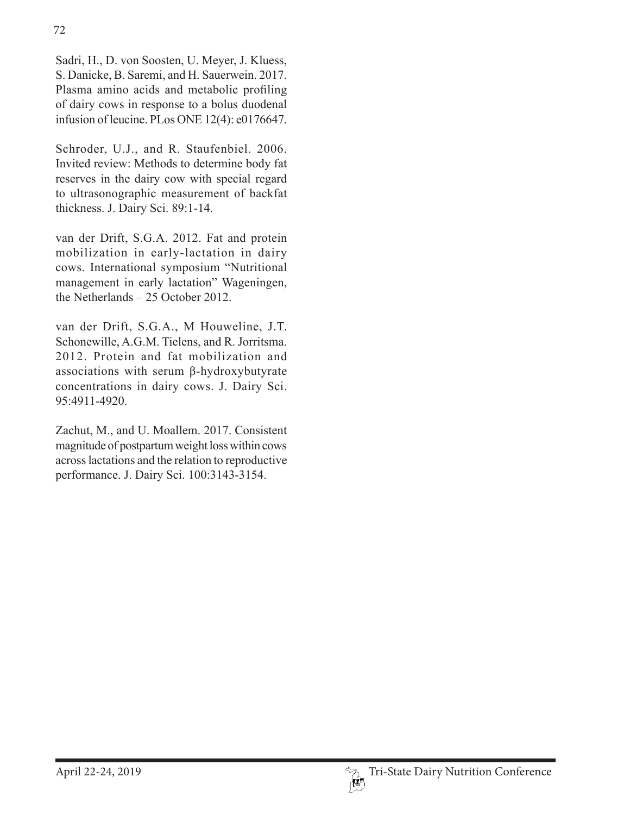Sadri, H., D. von Soosten, U. Meyer, J. Kluess, S. Danicke, B. Saremi, and H. Sauerwein. 2017. Plasma amino acids and metabolic profiling of dairy cows in response to a bolus duodenal infusion of leucine. PLos ONE 12(4): e0176647.

Schroder, U.J., and R. Staufenbiel. 2006. Invited review: Methods to determine body fat reserves in the dairy cow with special regard to ultrasonographic measurement of backfat thickness. J. Dairy Sci. 89:1-14.

van der Drift, S.G.A. 2012. Fat and protein mobilization in early-lactation in dairy cows. International symposium "Nutritional management in early lactation" Wageningen, the Netherlands – 25 October 2012.

van der Drift, S.G.A., M Houweline, J.T. Schonewille, A.G.M. Tielens, and R. Jorritsma. 2012. Protein and fat mobilization and associations with serum β-hydroxybutyrate concentrations in dairy cows. J. Dairy Sci. 95:4911-4920.

Zachut, M., and U. Moallem. 2017. Consistent magnitude of postpartum weight loss within cows across lactations and the relation to reproductive performance. J. Dairy Sci. 100:3143-3154.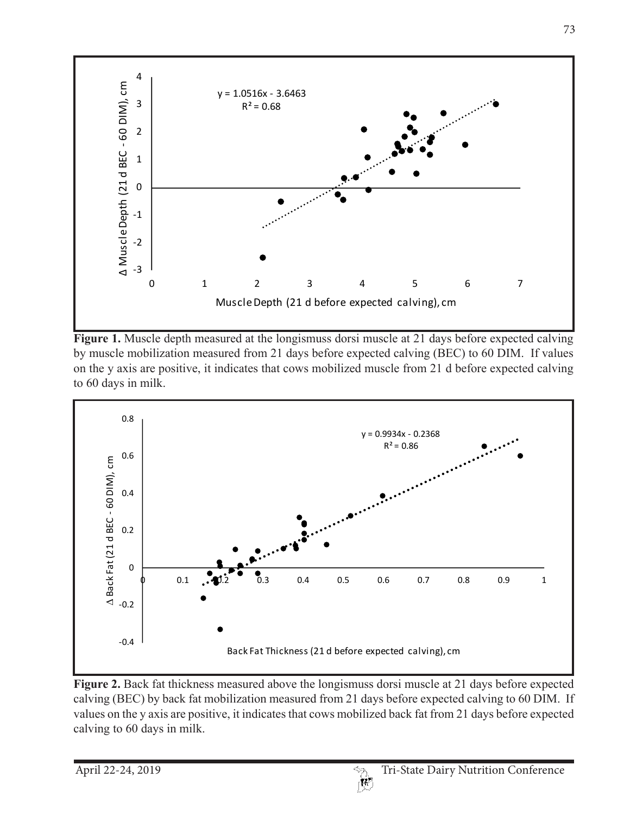

**Figure 1.** Muscle depth measured at the longismuss dorsi muscle at 21 days before expected calving by muscle mobilization measured from 21 days before expected calving (BEC) to 60 DIM. If values on the y axis are positive, it indicates that cows mobilized muscle from 21 d before expected calving to 60 days in milk.



**Figure 2.** Back fat thickness measured above the longismuss dorsi muscle at 21 days before expected calving (BEC) by back fat mobilization measured from 21 days before expected calving to 60 DIM. If values on the y axis are positive, it indicates that cows mobilized back fat from 21 days before expected calving to 60 days in milk.